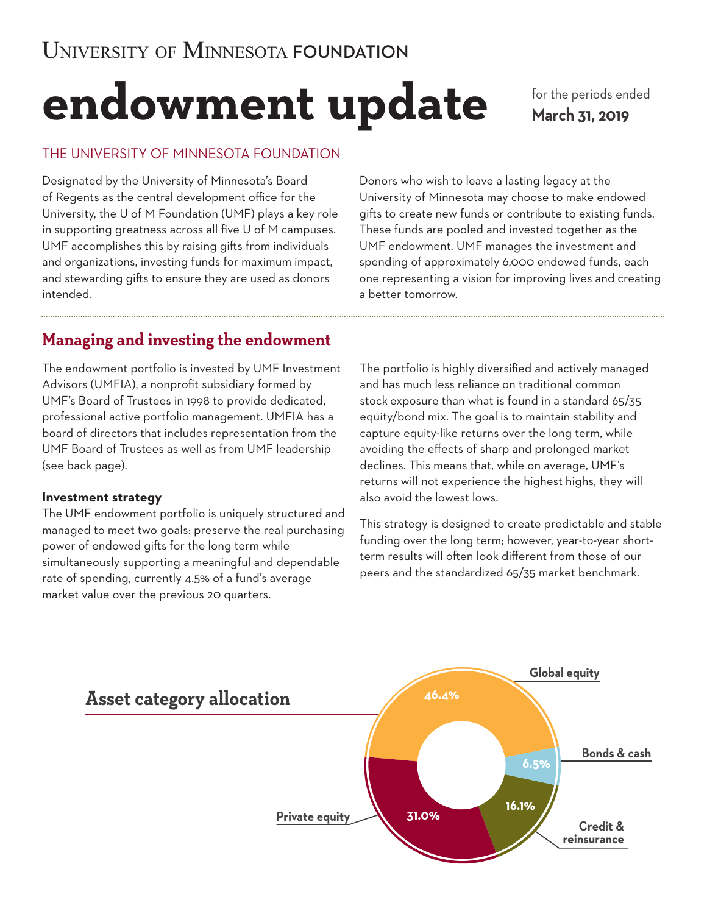# **endowment update**

for the periods ended **March 31, 2019**

## THE UNIVERSITY OF MINNESOTA FOUNDATION

Designated by the University of Minnesota's Board of Regents as the central development office for the University, the U of M Foundation (UMF) plays a key role in supporting greatness across all five U of M campuses. UMF accomplishes this by raising gifts from individuals and organizations, investing funds for maximum impact, and stewarding gifts to ensure they are used as donors intended.

Donors who wish to leave a lasting legacy at the University of Minnesota may choose to make endowed gifts to create new funds or contribute to existing funds. These funds are pooled and invested together as the UMF endowment. UMF manages the investment and spending of approximately 6,000 endowed funds, each one representing a vision for improving lives and creating a better tomorrow.

## **Managing and investing the endowment**

The endowment portfolio is invested by UMF Investment Advisors (UMFIA), a nonprofit subsidiary formed by UMF's Board of Trustees in 1998 to provide dedicated, professional active portfolio management. UMFIA has a board of directors that includes representation from the UMF Board of Trustees as well as from UMF leadership (see back page).

## **Investment strategy**

The UMF endowment portfolio is uniquely structured and managed to meet two goals: preserve the real purchasing power of endowed gifts for the long term while simultaneously supporting a meaningful and dependable rate of spending, currently 4.5% of a fund's average market value over the previous 20 quarters.

The portfolio is highly diversified and actively managed and has much less reliance on traditional common stock exposure than what is found in a standard 65/35 equity/bond mix. The goal is to maintain stability and capture equity-like returns over the long term, while avoiding the effects of sharp and prolonged market declines. This means that, while on average, UMF's returns will not experience the highest highs, they will also avoid the lowest lows.

This strategy is designed to create predictable and stable funding over the long term; however, year-to-year shortterm results will often look different from those of our peers and the standardized 65/35 market benchmark.

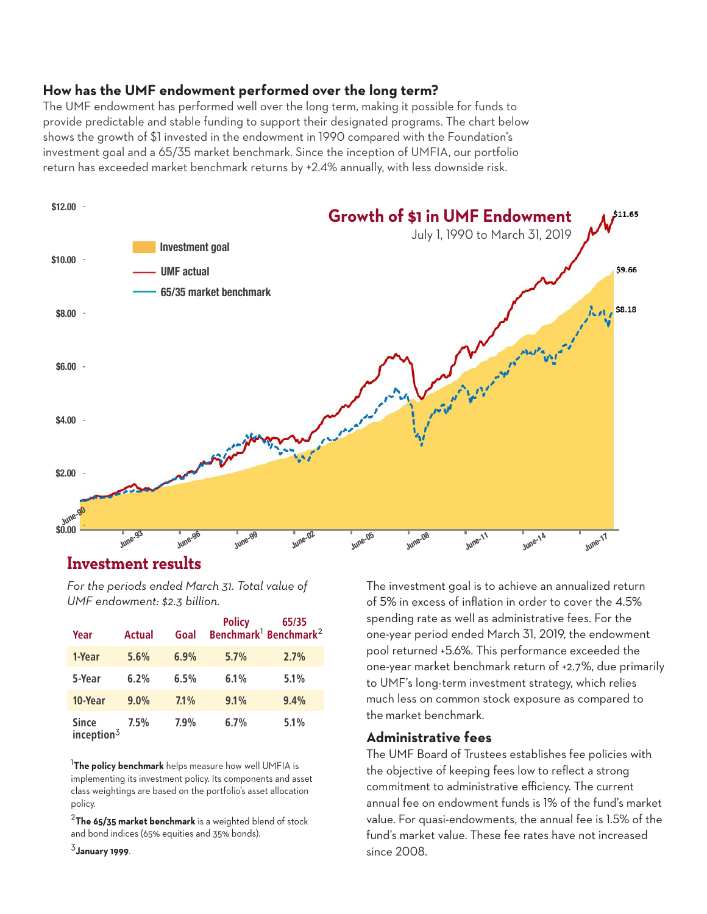### **How has the UMF endowment performed over the long term?**

The UMF endowment has performed well over the long term, making it possible for funds to provide predictable and stable funding to support their designated programs. The chart below shows the growth of \$1 invested in the endowment in 1990 compared with the Foundation's investment goal and a 65/35 market benchmark. Since the inception of UMFIA, our portfolio return has exceeded market benchmark returns by +2.4% annually, with less downside risk.



## **Investment results \$0.00**

*For the periods ended March 31. Total value of UMF endowment: \$2.3 billion.*

| Year                          | <b>Actual</b> | Goal | <b>Policy</b> | 65/35<br>Benchmark <sup>1</sup> Benchmark <sup>2</sup> |
|-------------------------------|---------------|------|---------------|--------------------------------------------------------|
| 1-Year                        | 5.6%          | 6.9% | 5.7%          | 2.7%                                                   |
| 5-Year                        | 6.2%          | 6.5% | 6.1%          | 5.1%                                                   |
| 10-Year                       | 9.0%          | 7.1% | 9.1%          | 9.4%                                                   |
| <b>Since</b><br>inception $3$ | 7.5%          | 7.9% | 6.7%          | 5.1%                                                   |

<sup>1</sup>**The policy benchmark** helps measure how well UMFIA is implementing its investment policy. Its components and asset class weightings are based on the portfolio's asset allocation policy.

<sup>2</sup>**The 65/35 market benchmark** is a weighted blend of stock and bond indices (65% equities and 35% bonds).

<sup>3</sup>**January 1999**.

The investment goal is to achieve an annualized return of 5% in excess of inflation in order to cover the 4.5% spending rate as well as administrative fees. For the one-year period ended March 31, 2019, the endowment pool returned +5.6%. This performance exceeded the one-year market benchmark return of +2.7%, due primarily to UMF's long-term investment strategy, which relies much less on common stock exposure as compared to the market benchmark.

#### **Administrative fees**

The UMF Board of Trustees establishes fee policies with the objective of keeping fees low to reflect a strong commitment to administrative efficiency. The current annual fee on endowment funds is 1% of the fund's market value. For quasi-endowments, the annual fee is 1.5% of the fund's market value. These fee rates have not increased since 2008.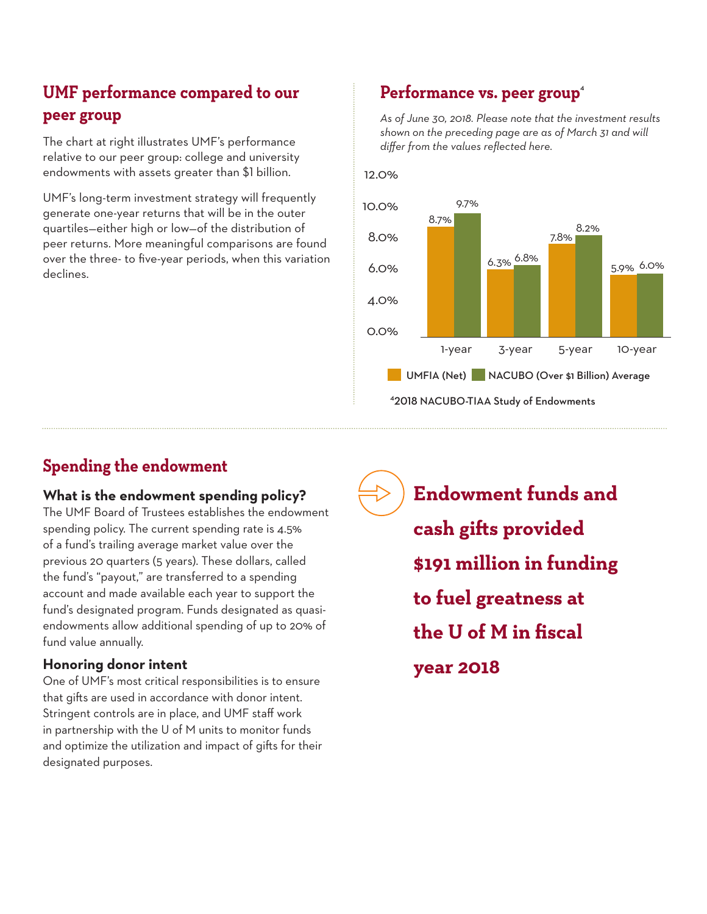## **UMF performance compared to our peer group**

The chart at right illustrates UMF's performance relative to our peer group: college and university endowments with assets greater than \$1 billion.

UMF's long-term investment strategy will frequently generate one-year returns that will be in the outer quartiles—either high or low—of the distribution of peer returns. More meaningful comparisons are found over the three- to five-year periods, when this variation declines.

## Performance vs. peer group<sup>4</sup>

*As of June 30, 2018. Please note that the investment results shown on the preceding page are as of March 31 and will differ from the values reflected here.*





## **Spending the endowment**

## **What is the endowment spending policy?**

The UMF Board of Trustees establishes the endowment spending policy. The current spending rate is 4.5% of a fund's trailing average market value over the previous 20 quarters (5 years). These dollars, called the fund's "payout," are transferred to a spending account and made available each year to support the fund's designated program. Funds designated as quasiendowments allow additional spending of up to 20% of fund value annually.

## **Honoring donor intent**

One of UMF's most critical responsibilities is to ensure that gifts are used in accordance with donor intent. Stringent controls are in place, and UMF staff work in partnership with the U of M units to monitor funds and optimize the utilization and impact of gifts for their designated purposes.

**Endowment funds and cash gifts provided \$191 million in funding to fuel greatness at the U of M in fiscal year 2018**